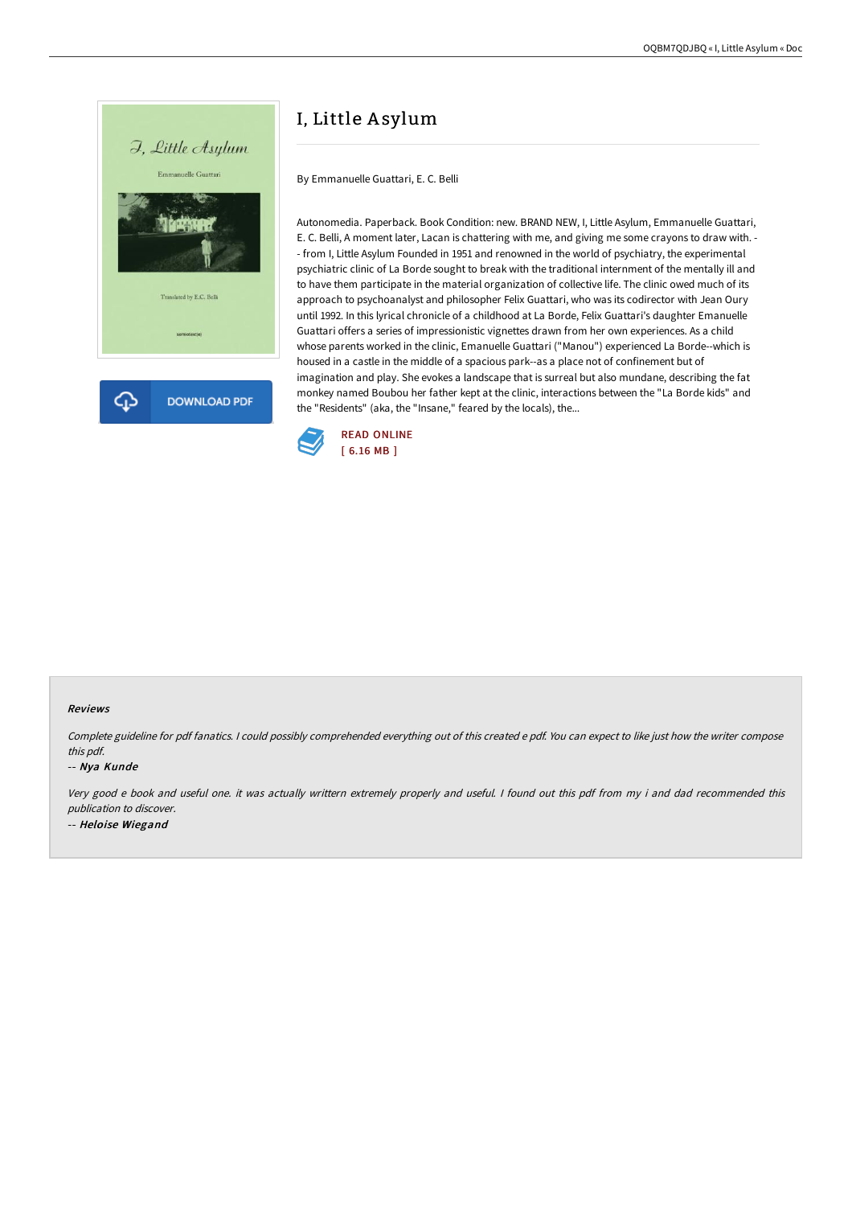

# I, Little A sylum

By Emmanuelle Guattari, E. C. Belli

Autonomedia. Paperback. Book Condition: new. BRAND NEW, I, Little Asylum, Emmanuelle Guattari, E. C. Belli, A moment later, Lacan is chattering with me, and giving me some crayons to draw with. - - from I, Little Asylum Founded in 1951 and renowned in the world of psychiatry, the experimental psychiatric clinic of La Borde sought to break with the traditional internment of the mentally ill and to have them participate in the material organization of collective life. The clinic owed much of its approach to psychoanalyst and philosopher Felix Guattari, who was its codirector with Jean Oury until 1992. In this lyrical chronicle of a childhood at La Borde, Felix Guattari's daughter Emanuelle Guattari offers a series of impressionistic vignettes drawn from her own experiences. As a child whose parents worked in the clinic, Emanuelle Guattari ("Manou") experienced La Borde--which is housed in a castle in the middle of a spacious park--as a place not of confinement but of imagination and play. She evokes a landscape that is surreal but also mundane, describing the fat monkey named Boubou her father kept at the clinic, interactions between the "La Borde kids" and the "Residents" (aka, the "Insane," feared by the locals), the...



#### Reviews

Complete guideline for pdf fanatics. <sup>I</sup> could possibly comprehended everything out of this created <sup>e</sup> pdf. You can expect to like just how the writer compose this pdf.

-- Nya Kunde

Very good <sup>e</sup> book and useful one. it was actually writtern extremely properly and useful. <sup>I</sup> found out this pdf from my i and dad recommended this publication to discover. -- Heloise Wiegand